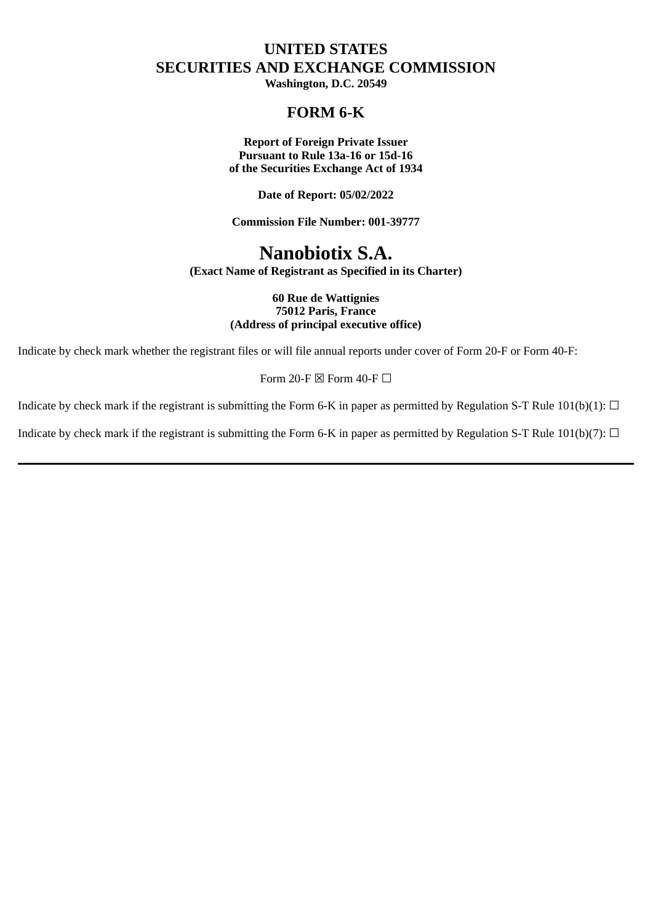## **UNITED STATES SECURITIES AND EXCHANGE COMMISSION**

**Washington, D.C. 20549**

## **FORM 6-K**

**Report of Foreign Private Issuer Pursuant to Rule 13a-16 or 15d-16 of the Securities Exchange Act of 1934**

**Date of Report: 05/02/2022**

**Commission File Number: 001-39777**

# **Nanobiotix S.A.**

**(Exact Name of Registrant as Specified in its Charter)**

#### **60 Rue de Wattignies 75012 Paris, France (Address of principal executive office)**

Indicate by check mark whether the registrant files or will file annual reports under cover of Form 20-F or Form 40-F:

Form 20-F  $\boxtimes$  Form 40-F  $\Box$ 

Indicate by check mark if the registrant is submitting the Form 6-K in paper as permitted by Regulation S-T Rule 101(b)(1):  $\Box$ 

Indicate by check mark if the registrant is submitting the Form 6-K in paper as permitted by Regulation S-T Rule  $101(b)(7)$ :  $\Box$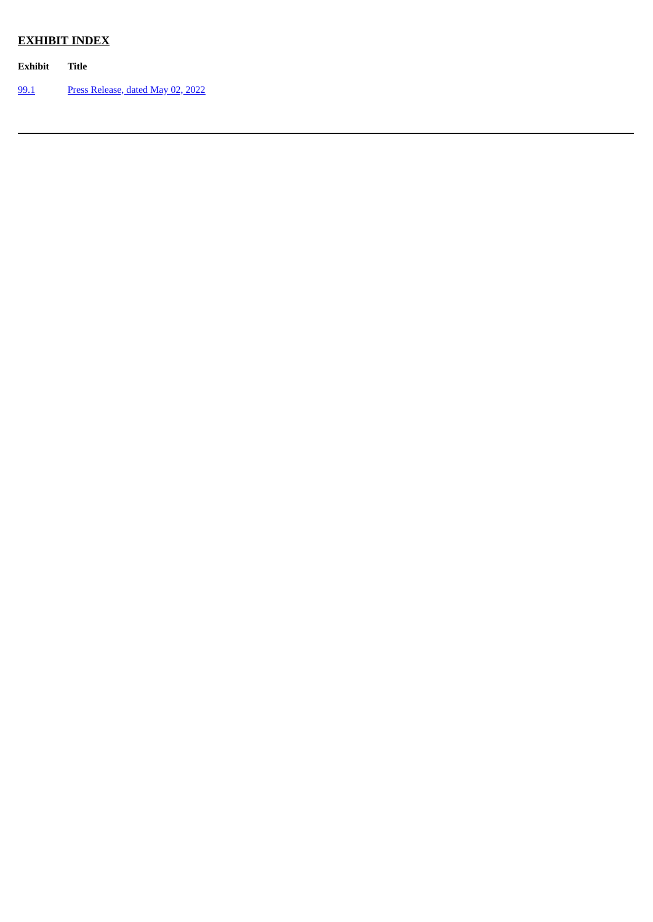## **EXHIBIT INDEX**

**Exhibit Title**

[99.1](#page-3-0) Press [Release,](#page-3-0) dated May 02, 2022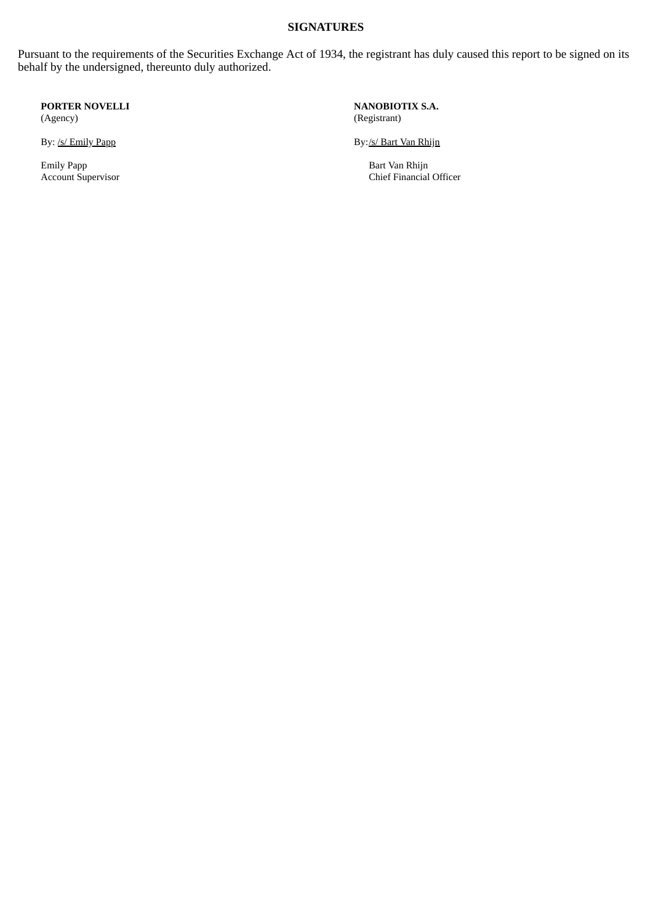#### **SIGNATURES**

Pursuant to the requirements of the Securities Exchange Act of 1934, the registrant has duly caused this report to be signed on its behalf by the undersigned, thereunto duly authorized.

**PORTER NOVELLI** (Agency)

Emily Papp Bart Van Rhijn Bart Van Rhijn Bart Van Rhijn Bart Van Rhijn Bart Van Rhijn Bart Van Rhijn Bart Van Rhijn Bart Van Rhijn Bart Van Rhijn Bart Van Rhijn Bart Van Rhijn Bart Van Rhijn Bart Van Rhijn Bart Van Rhijn B

**NANOBIOTIX S.A.** (Registrant)

By: <u>/s/ Emily Papp</u> By: **/s/ Emily Papp** By: **/s/ Bart Van Rhijn** 

Chief Financial Officer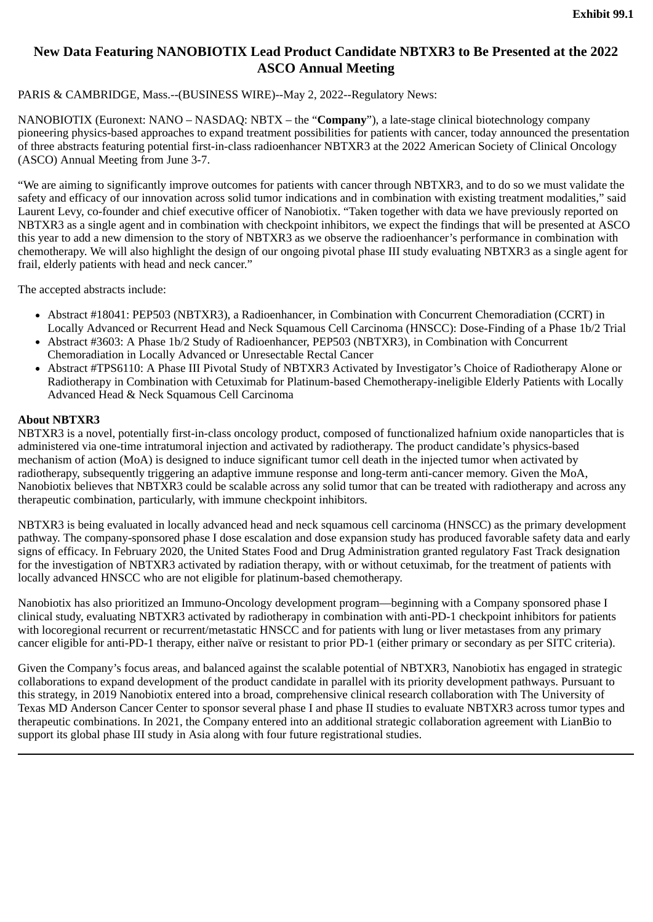## <span id="page-3-0"></span>**New Data Featuring NANOBIOTIX Lead Product Candidate NBTXR3 to Be Presented at the 2022 ASCO Annual Meeting**

## PARIS & CAMBRIDGE, Mass.--(BUSINESS WIRE)--May 2, 2022--Regulatory News:

NANOBIOTIX (Euronext: NANO – NASDAQ: NBTX – the "**Company**"), a late-stage clinical biotechnology company pioneering physics-based approaches to expand treatment possibilities for patients with cancer, today announced the presentation of three abstracts featuring potential first-in-class radioenhancer NBTXR3 at the 2022 American Society of Clinical Oncology (ASCO) Annual Meeting from June 3-7.

"We are aiming to significantly improve outcomes for patients with cancer through NBTXR3, and to do so we must validate the safety and efficacy of our innovation across solid tumor indications and in combination with existing treatment modalities," said Laurent Levy, co-founder and chief executive officer of Nanobiotix. "Taken together with data we have previously reported on NBTXR3 as a single agent and in combination with checkpoint inhibitors, we expect the findings that will be presented at ASCO this year to add a new dimension to the story of NBTXR3 as we observe the radioenhancer's performance in combination with chemotherapy. We will also highlight the design of our ongoing pivotal phase III study evaluating NBTXR3 as a single agent for frail, elderly patients with head and neck cancer."

The accepted abstracts include:

- Abstract #18041: PEP503 (NBTXR3), a Radioenhancer, in Combination with Concurrent Chemoradiation (CCRT) in Locally Advanced or Recurrent Head and Neck Squamous Cell Carcinoma (HNSCC): Dose-Finding of a Phase 1b/2 Trial
- Abstract #3603: A Phase 1b/2 Study of Radioenhancer, PEP503 (NBTXR3), in Combination with Concurrent Chemoradiation in Locally Advanced or Unresectable Rectal Cancer
- Abstract #TPS6110: A Phase III Pivotal Study of NBTXR3 Activated by Investigator's Choice of Radiotherapy Alone or Radiotherapy in Combination with Cetuximab for Platinum-based Chemotherapy-ineligible Elderly Patients with Locally Advanced Head & Neck Squamous Cell Carcinoma

## **About NBTXR3**

NBTXR3 is a novel, potentially first-in-class oncology product, composed of functionalized hafnium oxide nanoparticles that is administered via one-time intratumoral injection and activated by radiotherapy. The product candidate's physics-based mechanism of action (MoA) is designed to induce significant tumor cell death in the injected tumor when activated by radiotherapy, subsequently triggering an adaptive immune response and long-term anti-cancer memory. Given the MoA, Nanobiotix believes that NBTXR3 could be scalable across any solid tumor that can be treated with radiotherapy and across any therapeutic combination, particularly, with immune checkpoint inhibitors.

NBTXR3 is being evaluated in locally advanced head and neck squamous cell carcinoma (HNSCC) as the primary development pathway. The company-sponsored phase I dose escalation and dose expansion study has produced favorable safety data and early signs of efficacy. In February 2020, the United States Food and Drug Administration granted regulatory Fast Track designation for the investigation of NBTXR3 activated by radiation therapy, with or without cetuximab, for the treatment of patients with locally advanced HNSCC who are not eligible for platinum-based chemotherapy.

Nanobiotix has also prioritized an Immuno-Oncology development program—beginning with a Company sponsored phase I clinical study, evaluating NBTXR3 activated by radiotherapy in combination with anti-PD-1 checkpoint inhibitors for patients with locoregional recurrent or recurrent/metastatic HNSCC and for patients with lung or liver metastases from any primary cancer eligible for anti-PD-1 therapy, either naïve or resistant to prior PD-1 (either primary or secondary as per SITC criteria).

Given the Company's focus areas, and balanced against the scalable potential of NBTXR3, Nanobiotix has engaged in strategic collaborations to expand development of the product candidate in parallel with its priority development pathways. Pursuant to this strategy, in 2019 Nanobiotix entered into a broad, comprehensive clinical research collaboration with The University of Texas MD Anderson Cancer Center to sponsor several phase I and phase II studies to evaluate NBTXR3 across tumor types and therapeutic combinations. In 2021, the Company entered into an additional strategic collaboration agreement with LianBio to support its global phase III study in Asia along with four future registrational studies.